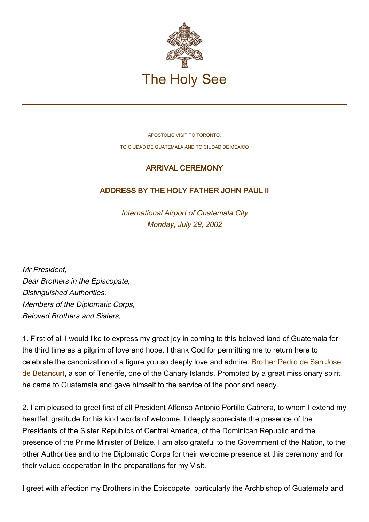

APOSTOLIC VISIT TO TORONTO, TO CIUDAD DE GUATEMALA AND TO CIUDAD DE MÉXICO

## ARRIVAL CEREMONY

## ADDRESS BY THE HOLY FATHER JOHN PAUL II

International Airport of Guatemala City Monday, July 29, 2002

Mr President, Dear Brothers in the Episcopate, Distinguished Authorities, Members of the Diplomatic Corps, Beloved Brothers and Sisters,

1. First of all I would like to express my great joy in coming to this beloved land of Guatemala for the third time as a pilgrim of love and hope. I thank God for permitting me to return here to celebrate the canonization of a figure you so deeply love and admire: [Brother Pedro de San José](http://localhost/news_services/liturgy/saints/ns_lit_doc_20020730_betancurt_en.html) [de Betancurt,](http://localhost/news_services/liturgy/saints/ns_lit_doc_20020730_betancurt_en.html) a son of Tenerife, one of the Canary Islands. Prompted by a great missionary spirit, he came to Guatemala and gave himself to the service of the poor and needy.

2. I am pleased to greet first of all President Alfonso Antonio Portillo Cabrera, to whom I extend my heartfelt gratitude for his kind words of welcome. I deeply appreciate the presence of the Presidents of the Sister Republics of Central America, of the Dominican Republic and the presence of the Prime Minister of Belize. I am also grateful to the Government of the Nation, to the other Authorities and to the Diplomatic Corps for their welcome presence at this ceremony and for their valued cooperation in the preparations for my Visit.

I greet with affection my Brothers in the Episcopate, particularly the Archbishop of Guatemala and